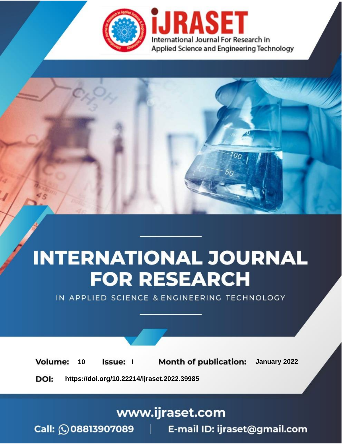

# **INTERNATIONAL JOURNAL FOR RESEARCH**

IN APPLIED SCIENCE & ENGINEERING TECHNOLOGY

**Month of publication:** January 2022 **Volume:** 10 **Issue:** I

DOI: https://doi.org/10.22214/ijraset.2022.39985

www.ijraset.com

Call: 008813907089 | E-mail ID: ijraset@gmail.com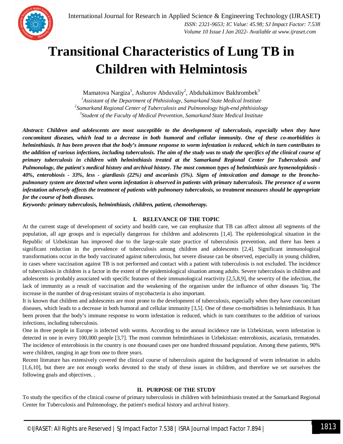

### **Transitional Characteristics of Lung TB in Children with Helmintosis**

Mamatova Nargiza<sup>1</sup>, Ashurov Abduvaliy<sup>2</sup>, Abduhakimov Bakhrombek<sup>3</sup> *Assistant of the Department of Phthisiology, Samarkand State Medical Institute Samarkand Regional Center of Tuberculosis and Pulmonology high-end phthisiology Student of the Faculty of Medical Prevention, Samarkand State Medical Institute*

*Abstract: Children and adolescents are most susceptible to the development of tuberculosis, especially when they have concomitant diseases, which lead to a decrease in both humoral and cellular immunity. One of these co-morbidities is helminthiasis. It has been proven that the body's immune response to worm infestation is reduced, which in turn contributes to the addition of various infections, including tuberculosis. The aim of the study was to study the specifics of the clinical course of primary tuberculosis in children with helminthiasis treated at the Samarkand Regional Center for Tuberculosis and Pulmonology, the patient's medical history and archival history. The most common types of helminthiasis are hymenolepidosis - 40%, enterobiosis - 33%, less - giardiasis (22%) and ascariasis (5%). Signs of intoxication and damage to the bronchopulmonary system are detected when worm infestation is observed in patients with primary tuberculosis. The presence of a worm infestation adversely affects the treatment of patients with pulmonary tuberculosis, so treatment measures should be appropriate for the course of both diseases.*

*Keywords: primary tuberculosis, helminthiasis, children, patient, chemotherapy.*

#### **I. RELEVANCE OF THE TOPIC**

At the current stage of development of society and health care, we can emphasize that TB can affect almost all segments of the population, all age groups and is especially dangerous for children and adolescents [1,4]. The epidemiological situation in the Republic of Uzbekistan has improved due to the large-scale state practice of tuberculosis prevention, and there has been a significant reduction in the prevalence of tuberculosis among children and adolescents [2,4]. Significant immunological transformations occur in the body vaccinated against tuberculosis, but severe disease can be observed, especially in young children, in cases where vaccination against TB is not performed and contact with a patient with tuberculosis is not excluded. The incidence of tuberculosis in children is a factor in the extent of the epidemiological situation among adults. Severe tuberculosis in children and adolescents is probably associated with specific features of their immunological reactivity [2,5,8,9], the severity of the infection, the lack of immunity as a result of vaccination and the weakening of the organism under the influence of other diseases 'liq. The increase in the number of drug-resistant strains of mycobacteria is also important.

It is known that children and adolescents are most prone to the development of tuberculosis, especially when they have concomitant diseases, which leads to a decrease in both humoral and cellular immunity [3,5]. One of these co-morbidities is helminthiasis. It has been proven that the body's immune response to worm infestation is reduced, which in turn contributes to the addition of various infections, including tuberculosis.

One in three people in Europe is infected with worms. According to the annual incidence rate in Uzbekistan, worm infestation is detected in one in every 100,000 people [3,7]. The most common helminthiases in Uzbekistan: enterobiosis, ascariasis, trematodes. The incidence of enterobiosis in the country is one thousand cases per one hundred thousand population. Among these patients, 90% were children, ranging in age from one to three years.

Recent literature has extensively covered the clinical course of tuberculosis against the background of worm infestation in adults [1,6,10], but there are not enough works devoted to the study of these issues in children, and therefore we set ourselves the following goals and objectives. .

#### **II. PURPOSE OF THE STUDY**

To study the specifics of the clinical course of primary tuberculosis in children with helminthiasis treated at the Samarkand Regional Center for Tuberculosis and Pulmonology, the patient's medical history and archival history.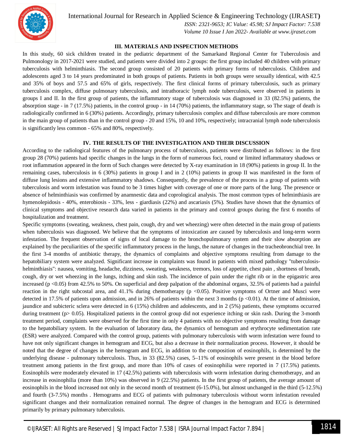

International Journal for Research in Applied Science & Engineering Technology (IJRASET**)**

 *ISSN: 2321-9653; IC Value: 45.98; SJ Impact Factor: 7.538 Volume 10 Issue I Jan 2022- Available at www.ijraset.com*

#### **III. MATERIALS AND INSPECTION METHODS**

In this study, 60 sick children treated in the pediatric department of the Samarkand Regional Center for Tuberculosis and Pulmonology in 2017-2021 were studied, and patients were divided into 2 groups: the first group included 40 children with primary tuberculosis with helminthiasis. The second group consisted of 20 patients with primary forms of tuberculosis. Children and adolescents aged 3 to 14 years predominated in both groups of patients. Patients in both groups were sexually identical, with 42.5 and 35% of boys and 57.5 and 65% of girls, respectively. The first clinical forms of primary tuberculosis, such as primary tuberculosis complex, diffuse pulmonary tuberculosis, and intrathoracic lymph node tuberculosis, were observed in patients in groups I and II. In the first group of patients, the inflammatory stage of tuberculosis was diagnosed in 33 (82.5%) patients, the absorption stage - in 7 (17.5%) patients, in the control group - in 14 (70%) patients, the inflammatory stage, so The stage of death is radiologically confirmed in 6 (30%) patients. Accordingly, primary tuberculosis complex and diffuse tuberculosis are more common in the main group of patients than in the control group - 20 and 15%, 10 and 10%, respectively; intracranial lymph node tuberculosis is significantly less common - 65% and 80%, respectively.

#### **IV. THE RESULTS OF THE INVESTIGATION AND THEIR DISCUSSION**

According to the radiological features of the pulmonary process of tuberculosis, patients were distributed as follows: in the first group 28 (70%) patients had specific changes in the lungs in the form of numerous foci, round or limited inflammatory shadows or root inflammation appeared in the form of Such changes were detected by X-ray examination in 18 (90%) patients in group II. In the remaining cases, tuberculosis in 6 (30%) patients in group I and in 2 (10%) patients in group II was manifested in the form of diffuse lung lesions and extensive inflammatory shadows. Consequently, the prevalence of the process in a group of patients with tuberculosis and worm infestation was found to be 3 times higher with coverage of one or more parts of the lung. The presence or absence of helminthiasis was confirmed by anamnestic data and coprological analysis. The most common types of helminthiasis are hymenolepidosis - 40%, enterobiosis - 33%, less - giardiasis (22%) and ascariasis (5%). Studies have shown that the dynamics of clinical symptoms and objective research data varied in patients in the primary and control groups during the first 6 months of hospitalization and treatment.

Specific symptoms (sweating, weakness, chest pain, cough, dry and wet wheezing) were often detected in the main group of patients when tuberculosis was diagnosed. We believe that the symptoms of intoxication are caused by tuberculosis and long-term worm infestation. The frequent observation of signs of local damage to the bronchopulmonary system and their slow absorption are explained by the peculiarities of the specific inflammatory process in the lungs, the nature of changes in the tracheobronchial tree. In the first 3-4 months of antibiotic therapy, the dynamics of complaints and objective symptoms resulting from damage to the hepatobiliary system were analyzed. Significant increase in complaints was found in patients with mixed pathology "tuberculosishelminthiasis": nausea, vomiting, headache, dizziness, sweating, weakness, tremors, loss of appetite, chest pain , shortness of breath, cough, dry or wet wheezing in the lungs, itching and skin rash. The incidence of pain under the right rib or in the epigastric area increased (p <0.05) from 42.5% to 50%. On superficial and deep palpation of the abdominal organs, 32.5% of patients had a painful reaction in the right subcostal area, and 41.1% during chemotherapy ( $p < 0.05$ ). Positive symptoms of Ortner and Musci were detected in 17.5% of patients upon admission, and in 26% of patients within the next 3 months ( $p$  <0.01). At the time of admission, jaundice and subicteric sclera were detected in 6 (15%) children and adolescents, and in 2 (5%) patients, these symptoms occurred during treatment ( $p > 0.05$ ). Hospitalized patients in the control group did not experience itching or skin rash. During the 3-month treatment period, complaints were observed for the first time in only 4 patients with no objective symptoms resulting from damage to the hepatobiliary system. In the evaluation of laboratory data, the dynamics of hemogram and erythrocyte sedimentation rate (ESR) were analyzed. Compared with the control group, patients with pulmonary tuberculosis with worm infestation were found to have not only significant changes in hemogram and ECG, but also a decrease in their normalization process. However, it should be noted that the degree of changes in the hemogram and ECG, in addition to the composition of eosinophils, is determined by the underlying disease - pulmonary tuberculosis. Thus, in 33 (82.5%) cases, 5–11% of eosinophils were present in the blood before treatment among patients in the first group, and more than 10% of cases of eosinophilia were reported in 7 (17.5%) patients. Eosinophils were moderately elevated in 17 (42.5%) patients with tuberculosis with worm infestation during chemotherapy, and an increase in eosinophilia (more than 10%) was observed in 9 (22.5%) patients. In the first group of patients, the average amount of eosinophils in the blood increased not only in the second month of treatment (6-15.0%), but almost unchanged in the third (5-12.5%) and fourth (3-7.5%) months . Hemograms and ECG of patients with pulmonary tuberculosis without worm infestation revealed significant changes and their normalization remained normal. The degree of changes in the hemogram and ECG is determined primarily by primary pulmonary tuberculosis.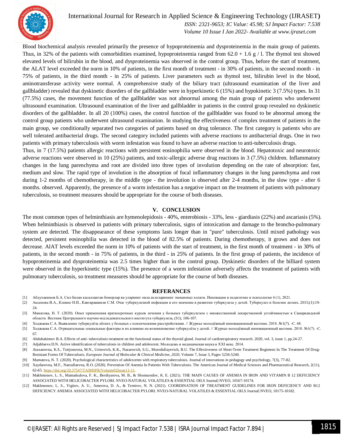

#### International Journal for Research in Applied Science & Engineering Technology (IJRASET**)**

 *ISSN: 2321-9653; IC Value: 45.98; SJ Impact Factor: 7.538 Volume 10 Issue I Jan 2022- Available at www.ijraset.com*

Blood biochemical analysis revealed primarily the presence of hypoproteinemia and dysproteinemia in the main group of patients. Thus, in 32% of the patients with comorbidities examined, hypoproteinemia ranged from  $62.0 + 1.6$  g  $/1$ . The thymol test showed elevated levels of bilirubin in the blood, and dysproteinemia was observed in the control group. Thus, before the start of treatment, the ALAT level exceeded the norm in 10% of patients, in the first month of treatment - in 30% of patients, in the second month - in 75% of patients, in the third month - in 25% of patients. Liver parameters such as thymol test, bilirubin level in the blood, aminotransferase activity were normal. A comprehensive study of the biliary tract (ultrasound examination of the liver and gallbladder) revealed that dyskinetic disorders of the gallbladder were in hyperkinetic 6 (15%) and hypokinetic 3 (7.5%) types. In 31 (77.5%) cases, the movement function of the gallbladder was not abnormal among the main group of patients who underwent ultrasound examination. Ultrasound examination of the liver and gallbladder in patients in the control group revealed no dyskinetic disorders of the gallbladder. In all 20 (100%) cases, the control function of the gallbladder was found to be abnormal among the control group patients who underwent ultrasound examination. In studying the effectiveness of complex treatment of patients in the main group, we conditionally separated two categories of patients based on drug tolerance. The first category is patients who are well tolerated antibacterial drugs. The second category included patients with adverse reactions to antibacterial drugs. One in two patients with primary tuberculosis with worm infestation was found to have an adverse reaction to anti-tuberculosis drugs.

Thus, in 7 (17.5%) patients allergic reactions with persistent eosinophilia were observed in the blood. Hepatotoxic and neurotoxic adverse reactions were observed in 10 (25%) patients, and toxic-allergic adverse drug reactions in 3 (7.5%) children. Inflammatory changes in the lung parenchyma and root are divided into three types of involution depending on the rate of absorption: fast, medium and slow. The rapid type of involution is the absorption of focal inflammatory changes in the lung parenchyma and root during 1-2 months of chemotherapy, in the middle type - the involution is observed after 2-4 months, in the slow type - after 6 months. observed. Apparently, the presence of a worm infestation has a negative impact on the treatment of patients with pulmonary tuberculosis, so treatment measures should be appropriate for the course of both diseases.

#### **V. CONCLUSION**

The most common types of helminthiasis are hymenolepidosis - 40%, enterobiosis - 33%, less - giardiasis (22%) and ascariasis (5%). When helminthiasis is observed in patients with primary tuberculosis, signs of intoxication and damage to the broncho-pulmonary system are detected. The disappearance of these symptoms lasts longer than in "pure" tuberculosis. Until mixed pathology was detected, persistent eosinophilia was detected in the blood of 82.5% of patients. During chemotherapy, it grows and does not decrease. AlAT levels exceeded the norm in 10% of patients with the start of treatment, in the first month of treatment - in 30% of patients, in the second month - in 75% of patients, in the third - in 25% of patients. In the first group of patients, the incidence of hypoproteinemia and dysproteinemia was 2.5 times higher than in the control group. Dyskinetic disorders of the billiard system were observed in the hyperkinetic type (15%). The presence of a worm infestation adversely affects the treatment of patients with pulmonary tuberculosis, so treatment measures should be appropriate for the course of both diseases.

#### **REFERANCES**

- [1] Абдухакимов Б.А. Сил билан касалланган беморлар ва уларнинг оила аъзоларининг эмоционал холати. Инновации в педагогике и психологии 4 (1), 2021.
- [2] Аксенова В.А., Клевно Н.И., Кавтарашвили С.М. Очаг туберкулезной инфекции и его значение в развитии туберкулеза у детей. Туберкулез и болезни легких. 2015;(1):19- 24.
- [3] Маматова, Н. Т. (2020). Опыт применения краткосрочных курсов лечения у больных туберкулезом с множественной лекарственной устойчивостью в Самаркандской области. Вестник Центрального научно-исследовательского института туберкулеза, (S1), 106-107.
- [4] Ходжаева С.А. Выявление туберкулёза лёгких у больных с психическими расстройствами. // Журнал молодёжный инновационный вестник. 2018. №1(7). -С. 68.
- [5] Ходжаева С.А. Отрицательные социальные факторы и их влияние на возникновение туберкулёза у детей. // Журнал молодёжный инновационный вестник. 2018. №1(7). -С. 67.
- [6] Abduhakimov B.A. Effects of anti- tuberculosis treatment on the functional status of the thyroid gland. Journal of cardiorespiratory research. 2020, vol. 3, issue 1, pp.24-27.
- [7] Adjablaeva D.N. Active identification of tuberculosis in children and adolescent. Молодежь и медицинская наука в XXI веке. 2014.
- [8] Ataxanovna, K.S., Toirjonovna, M.N., Urinovich, K.K., Nazarovich, S.G., Murodullayevich, B.U. The Effectiveness of Short-Term Treatment Regimens In The Treatment Of Drug-Resistant Forms Of Tuberculosis. *European Journal of Molecular & Clinical Medicine*, *2020,* Volume 7, Issue 3, Pages 5236-5240.
- [9] Mamatova, N. T. (2020). Psychological characteristics of adolescents with respiratory tuberculosis. Journal of innovations in pedagogy and psychology, 7(3), 77-82.
- [10] Xaydarovna, M.F., Narzullaevna, R.O. (2020). Prevention Of Anemia In Patients With Tuberculosis. The American Journal of Medical Sciences and Pharmaceutical Research, 2(11), 62-65. https://doi.org/10.37547/TAJMSPR/Volume02Issue11-11.
- [11] Makhmonov, L. S., Mamatkulova, F. K., Berdiyarova, M. B., & Shomurodov, K. E. (2021). THE MAIN CAUSES OF ANEMIA IN IRON AND VITAMIN B 12 DEFICIENCY ASSOCIATED WITH HELICOBACTER PYLORI. NVEO-NATURAL VOLATILES & ESSENTIAL OILS Journal| NVEO, 10167-10174.
- [12] Makhmonov, L. S., Yigitov, A. U., Amerova, D. A., & Temirov, N. N. (2021). COORDINATION OF TREATMENT GUIDELINES FOR IRON DEFICIENCY AND B12 DEFICIENCY ANEMIA ASSOCIATED WITH HELICOBACTER PYLORI. NVEO-NATURAL VOLATILES & ESSENTIAL OILS Journal| NVEO, 10175-10182.